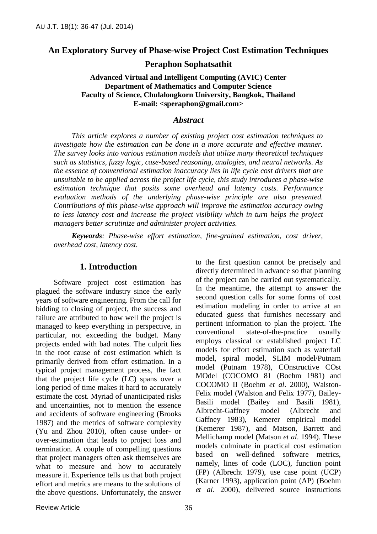#### **An Exploratory Survey of Phase-wise Project Cost Estimation Techniques**

**Peraphon Sophatsathit**

**Advanced Virtual and Intelligent Computing (AVIC) Center Department of Mathematics and Computer Science Faculty of Science, Chulalongkorn University, Bangkok, Thailand E-mail: <speraphon@gmail.com>**

#### *Abstract*

*This article explores a number of existing project cost estimation techniques to investigate how the estimation can be done in a more accurate and effective manner. The survey looks into various estimation models that utilize many theoretical techniques such as statistics, fuzzy logic, case-based reasoning, analogies, and neural networks. As the essence of conventional estimation inaccuracy lies in life cycle cost drivers that are unsuitable to be applied across the project life cycle, this study introduces a phase-wise estimation technique that posits some overhead and latency costs. Performance evaluation methods of the underlying phase-wise principle are also presented. Contributions of this phase-wise approach will improve the estimation accuracy owing to less latency cost and increase the project visibility which in turn helps the project managers better scrutinize and administer project activities.*

*Keywords: Phase-wise effort estimation, fine-grained estimation, cost driver, overhead cost, latency cost.*

#### **1. Introduction**

Software project cost estimation has plagued the software industry since the early years of software engineering. From the call for bidding to closing of project, the success and failure are attributed to how well the project is managed to keep everything in perspective, in particular, not exceeding the budget. Many projects ended with bad notes. The culprit lies in the root cause of cost estimation which is primarily derived from effort estimation. In a typical project management process, the fact that the project life cycle (LC) spans over a long period of time makes it hard to accurately estimate the cost. Myriad of unanticipated risks and uncertainties, not to mention the essence and accidents of software engineering (Brooks 1987) and the metrics of software complexity (Yu and Zhou 2010), often cause under- or over-estimation that leads to project loss and termination. A couple of compelling questions that project managers often ask themselves are what to measure and how to accurately measure it. Experience tells us that both project effort and metrics are means to the solutions of the above questions. Unfortunately, the answer

directly determined in advance so that planning of the project can be carried out systematically. In the meantime, the attempt to answer the second question calls for some forms of cost estimation modeling in order to arrive at an educated guess that furnishes necessary and pertinent information to plan the project. The conventional state-of-the-practice usually employs classical or established project LC models for effort estimation such as waterfall model, spiral model, SLIM model/Putnam model (Putnam 1978), COnstructive COst MOdel (COCOMO 81 (Boehm 1981) and COCOMO II (Boehm *et al*. 2000), Walston-Felix model (Walston and Felix 1977), Bailey-Basili model (Bailey and Basili 1981), Albrecht-Gaffney model (Albrecht and Gaffney 1983), Kemerer empirical model (Kemerer 1987), and Matson, Barrett and Mellichamp model (Matson *et al*. 1994). These models culminate in practical cost estimation based on well-defined software metrics, namely, lines of code (LOC), function point (FP) (Albrecht 1979), use case point (UCP) (Karner 1993), application point (AP) (Boehm *et al*. 2000), delivered source instructions

to the first question cannot be precisely and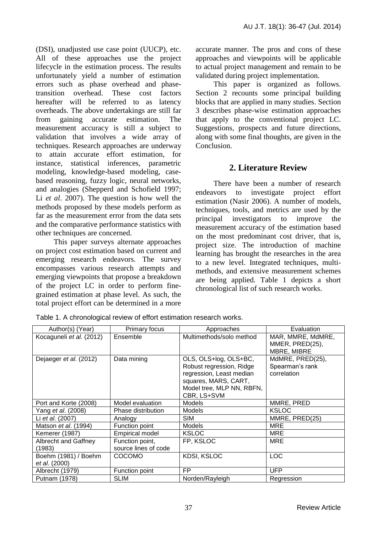(DSI), unadjusted use case point (UUCP), etc. All of these approaches use the project lifecycle in the estimation process. The results unfortunately yield a number of estimation errors such as phase overhead and phasetransition overhead. These cost factors hereafter will be referred to as latency overheads. The above undertakings are still far from gaining accurate estimation. The measurement accuracy is still a subject to validation that involves a wide array of techniques. Research approaches are underway to attain accurate effort estimation, for instance, statistical inferences, parametric modeling, knowledge-based modeling, casebased reasoning, fuzzy logic, neural networks, and analogies (Shepperd and Schofield 1997; Li *et al*. 2007). The question is how well the methods proposed by these models perform as far as the measurement error from the data sets and the comparative performance statistics with other techniques are concerned.

This paper surveys alternate approaches on project cost estimation based on current and emerging research endeavors. The survey encompasses various research attempts and emerging viewpoints that propose a breakdown of the project LC in order to perform finegrained estimation at phase level. As such, the total project effort can be determined in a more accurate manner. The pros and cons of these approaches and viewpoints will be applicable to actual project management and remain to be validated during project implementation.

This paper is organized as follows. Section 2 recounts some principal building blocks that are applied in many studies. Section 3 describes phase-wise estimation approaches that apply to the conventional project LC. Suggestions, prospects and future directions, along with some final thoughts, are given in the Conclusion.

# **2. Literature Review**

There have been a number of research endeavors to investigate project effort estimation (Nasir 2006). A number of models, techniques, tools, and metrics are used by the principal investigators to improve the measurement accuracy of the estimation based on the most predominant cost driver, that is, project size. The introduction of machine learning has brought the researches in the area to a new level. Integrated techniques, multimethods, and extensive measurement schemes are being applied. Table 1 depicts a short chronological list of such research works.

| Author(s) (Year)                      | Primary focus                           | Approaches                                                                                                                                        | Evaluation                                          |
|---------------------------------------|-----------------------------------------|---------------------------------------------------------------------------------------------------------------------------------------------------|-----------------------------------------------------|
| Kocaguneli et al. (2012)              | Ensemble                                | Multimethods/solo method                                                                                                                          | MAR, MMRE, MdMRE,<br>MMER, PRED(25),<br>MBRE, MIBRE |
| Dejaeger et al. (2012)                | Data mining                             | OLS, OLS+log, OLS+BC,<br>Robust regression, Ridge<br>regression, Least median<br>squares, MARS, CART,<br>Model tree, MLP NN, RBFN,<br>CBR, LS+SVM | MdMRE, PRED(25),<br>Spearman's rank<br>correlation  |
| Port and Korte (2008)                 | Model evaluation                        | Models                                                                                                                                            | MMRE, PRED                                          |
| Yang et al. (2008)                    | Phase distribution                      | Models                                                                                                                                            | <b>KSLOC</b>                                        |
| Li et al. (2007)                      | Analogy                                 | <b>SIM</b>                                                                                                                                        | MMRE, PRED(25)                                      |
| Matson <i>et al.</i> (1994)           | Function point                          | Models                                                                                                                                            | <b>MRE</b>                                          |
| Kemerer (1987)                        | <b>Empirical model</b>                  | <b>KSLOC</b>                                                                                                                                      | <b>MRE</b>                                          |
| Albrecht and Gaffney<br>(1983)        | Function point,<br>source lines of code | FP, KSLOC                                                                                                                                         | <b>MRE</b>                                          |
| Boehm (1981) / Boehm<br>et al. (2000) | <b>COCOMO</b>                           | <b>KDSI, KSLOC</b>                                                                                                                                | <b>LOC</b>                                          |
| Albrecht (1979)                       | Function point                          | <b>FP</b>                                                                                                                                         | <b>UFP</b>                                          |
| Putnam (1978)                         | <b>SLIM</b>                             | Norden/Rayleigh                                                                                                                                   | Regression                                          |

Table 1. A chronological review of effort estimation research works.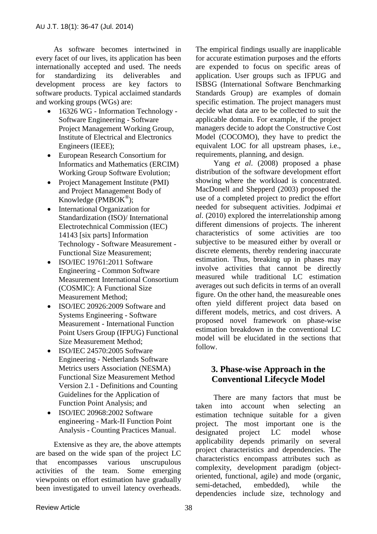As software becomes intertwined in every facet of our lives, its application has been internationally accepted and used. The needs for standardizing its deliverables and development process are key factors to software products. Typical acclaimed standards and working groups (WGs) are:

- 16326 WG Information Technology -Software Engineering - Software Project Management Working Group, Institute of Electrical and Electronics Engineers (IEEE);
- European Research Consortium for Informatics and Mathematics (ERCIM) Working Group Software Evolution;
- Project Management Institute (PMI) and Project Management Body of Knowledge (PMBOK® );
- International Organization for Standardization (ISO)/ International Electrotechnical Commission (IEC) 14143 [six parts] Information Technology - Software Measurement - Functional Size Measurement;
- ISO/IEC 19761:2011 Software Engineering - Common Software Measurement International Consortium (COSMIC): A Functional Size Measurement Method;
- ISO/IEC 20926:2009 Software and Systems Engineering - Software Measurement - International Function Point Users Group (IFPUG) Functional Size Measurement Method;
- ISO/IEC 24570:2005 Software Engineering - Netherlands Software Metrics users Association (NESMA) Functional Size Measurement Method Version 2.1 - Definitions and Counting Guidelines for the Application of Function Point Analysis; and
- ISO/IEC 20968:2002 Software engineering - Mark-II Function Point Analysis - Counting Practices Manual.

Extensive as they are, the above attempts are based on the wide span of the project LC that encompasses various unscrupulous activities of the team. Some emerging viewpoints on effort estimation have gradually been investigated to unveil latency overheads.

The empirical findings usually are inapplicable for accurate estimation purposes and the efforts are expended to focus on specific areas of application. User groups such as IFPUG and ISBSG (International Software Benchmarking Standards Group) are examples of domain specific estimation. The project managers must decide what data are to be collected to suit the applicable domain. For example, if the project managers decide to adopt the Constructive Cost Model (COCOMO), they have to predict the equivalent LOC for all upstream phases, i.e., requirements, planning, and design.

Yang *et al*. (2008) proposed a phase distribution of the software development effort showing where the workload is concentrated. MacDonell and Shepperd (2003) proposed the use of a completed project to predict the effort needed for subsequent activities. Jodpimai *et al*. (2010) explored the interrelationship among different dimensions of projects. The inherent characteristics of some activities are too subjective to be measured either by overall or discrete elements, thereby rendering inaccurate estimation. Thus, breaking up in phases may involve activities that cannot be directly measured while traditional LC estimation averages out such deficits in terms of an overall figure. On the other hand, the measureable ones often yield different project data based on different models, metrics, and cost drivers. A proposed novel framework on phase-wise estimation breakdown in the conventional LC model will be elucidated in the sections that follow.

# **3. Phase-wise Approach in the Conventional Lifecycle Model**

There are many factors that must be taken into account when selecting an estimation technique suitable for a given project. The most important one is the designated project LC model whose applicability depends primarily on several project characteristics and dependencies. The characteristics encompass attributes such as complexity, development paradigm (objectoriented, functional, agile) and mode (organic, semi-detached, embedded), while the dependencies include size, technology and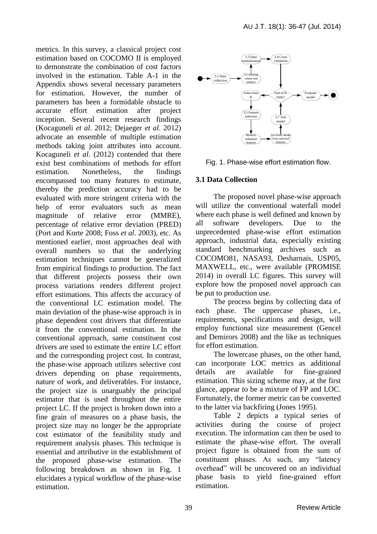metrics. In this survey, a classical project cost estimation based on COCOMO II is employed to demonstrate the combination of cost factors involved in the estimation. Table A-1 in the Appendix shows several necessary parameters for estimation. However, the number of parameters has been a formidable obstacle to accurate effort estimation after project inception. Several recent research findings (Kocaguneli *et al*. 2012; Dejaeger *et al*. 2012) advocate an ensemble of multiple estimation methods taking joint attributes into account. Kocaguneli *et al*. (2012) contended that there exist best combinations of methods for effort estimation. Nonetheless, the findings encompassed too many features to estimate, thereby the prediction accuracy had to be evaluated with more stringent criteria with the help of error evaluators such as mean magnitude of relative error (MMRE), percentage of relative error deviation (PRED) (Port and Korte 2008; Foss *et al*. 2003), etc. As mentioned earlier, most approaches deal with overall numbers so that the underlying estimation techniques cannot be generalized from empirical findings to production. The fact that different projects possess their own process variations renders different project effort estimations. This affects the accuracy of the conventional LC estimation model. The main deviation of the phase-wise approach is in phase dependent cost drivers that differentiate it from the conventional estimation. In the conventional approach, same constituent cost drivers are used to estimate the entire LC effort and the corresponding project cost. In contrast, the phase-wise approach utilizes selective cost drivers depending on phase requirements, nature of work, and deliverables. For instance, the project size is unarguably the principal estimator that is used throughout the entire project LC. If the project is broken down into a fine grain of measures on a phase basis, the project size may no longer be the appropriate cost estimator of the feasibility study and requirement analysis phases. This technique is essential and attributive in the establishment of the proposed phase-wise estimation. The following breakdown as shown in Fig. 1 elucidates a typical workflow of the phase-wise estimation.





#### **3.1 Data Collection**

The proposed novel phase-wise approach will utilize the conventional waterfall model where each phase is well defined and known by all software developers. Due to the unprecedented phase-wise effort estimation approach, industrial data, especially existing standard benchmarking archives such as COCOMO81, NASA93, Desharnais, USP05, MAXWELL, etc., were available (PROMISE 2014) in overall LC figures. This survey will explore how the proposed novel approach can be put to production use.

The process begins by collecting data of each phase. The uppercase phases, i.e., requirements, specifications and design, will employ functional size measurement (Gencel and Demirors 2008) and the like as techniques for effort estimation.

The lowercase phases, on the other hand, can incorporate LOC metrics as additional details are available for fine-grained estimation. This sizing scheme may, at the first glance, appear to be a mixture of FP and LOC. Fortunately, the former metric can be converted to the latter via backfiring (Jones 1995).

Table 2 depicts a typical series of activities during the course of project execution. The information can then be used to estimate the phase-wise effort. The overall project figure is obtained from the sum of constituent phases. As such, any "latency overhead" will be uncovered on an individual phase basis to yield fine-grained effort estimation.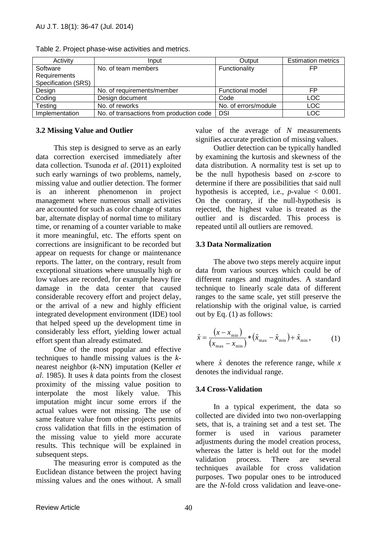| Activity            | Input                                    | Output                  | <b>Estimation metrics</b> |
|---------------------|------------------------------------------|-------------------------|---------------------------|
| Software            | No. of team members                      | Functionality           | FP                        |
| Requirements        |                                          |                         |                           |
| Specification (SRS) |                                          |                         |                           |
| Design              | No. of requirements/member               | <b>Functional model</b> | FP                        |
| Coding              | Design document                          | Code                    | <b>LOC</b>                |
| Testing             | No. of reworks                           | No. of errors/module    | <b>LOC</b>                |
| Implementation      | No. of transactions from production code | DSI                     | LOC                       |

Table 2. Project phase-wise activities and metrics.

#### **3.2 Missing Value and Outlier**

This step is designed to serve as an early data correction exercised immediately after data collection. Tsunoda *et al*. (2011) exploited such early warnings of two problems, namely, missing value and outlier detection. The former is an inherent phenomenon in project management where numerous small activities are accounted for such as color change of status bar, alternate display of normal time to military time, or renaming of a counter variable to make it more meaningful, etc. The efforts spent on corrections are insignificant to be recorded but appear on requests for change or maintenance reports. The latter, on the contrary, result from exceptional situations where unusually high or low values are recorded, for example heavy fire damage in the data center that caused considerable recovery effort and project delay, or the arrival of a new and highly efficient integrated development environment (IDE) tool that helped speed up the development time in considerably less effort, yielding lower actual effort spent than already estimated.

One of the most popular and effective techniques to handle missing values is the *k*nearest neighbor (*k*-NN) imputation (Keller *et al*. 1985). It uses *k* data points from the closest proximity of the missing value position to interpolate the most likely value. This imputation might incur some errors if the actual values were not missing. The use of same feature value from other projects permits cross validation that fills in the estimation of the missing value to yield more accurate results. This technique will be explained in subsequent steps.

The measuring error is computed as the Euclidean distance between the project having missing values and the ones without. A small value of the average of *N* measurements signifies accurate prediction of missing values.

Outlier detection can be typically handled by examining the kurtosis and skewness of the data distribution. A normality test is set up to be the null hypothesis based on *z*-score to determine if there are possibilities that said null hypothesis is accepted, i.e.,  $p$ -value  $\lt$  0.001. On the contrary, if the null-hypothesis is rejected, the highest value is treated as the outlier and is discarded. This process is repeated until all outliers are removed.

#### **3.3 Data Normalization**

The above two steps merely acquire input data from various sources which could be of different ranges and magnitudes. A standard technique to linearly scale data of different ranges to the same scale, yet still preserve the relationship with the original value, is carried out by Eq. (1) as follows:

$$
\hat{x} = \frac{\left(x - x_{\min}\right)}{\left(x_{\max} - x_{\min}\right)} * \left(\hat{x}_{\max} - \hat{x}_{\min}\right) + \hat{x}_{\min},\tag{1}
$$

where  $\hat{x}$  denotes the reference range, while  $x$ denotes the individual range.

#### **3.4 Cross-Validation**

In a typical experiment, the data so collected are divided into two non-overlapping sets, that is, a training set and a test set. The former is used in various parameter adjustments during the model creation process, whereas the latter is held out for the model validation process. There are several techniques available for cross validation purposes. Two popular ones to be introduced are the *N*-fold cross validation and leave-one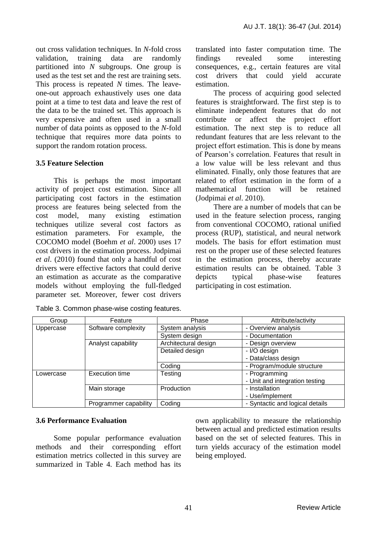out cross validation techniques. In *N*-fold cross validation, training data are randomly partitioned into *N* subgroups. One group is used as the test set and the rest are training sets. This process is repeated *N* times. The leaveone-out approach exhaustively uses one data point at a time to test data and leave the rest of the data to be the trained set. This approach is very expensive and often used in a small number of data points as opposed to the *N*-fold technique that requires more data points to support the random rotation process.

## **3.5 Feature Selection**

This is perhaps the most important activity of project cost estimation. Since all participating cost factors in the estimation process are features being selected from the cost model, many existing estimation techniques utilize several cost factors as estimation parameters. For example, the COCOMO model (Boehm *et al*. 2000) uses 17 cost drivers in the estimation process. Jodpimai *et al*. (2010) found that only a handful of cost drivers were effective factors that could derive an estimation as accurate as the comparative models without employing the full-fledged parameter set. Moreover, fewer cost drivers

Table 3. Common phase-wise costing features.

translated into faster computation time. The findings revealed some interesting consequences, e.g., certain features are vital cost drivers that could yield accurate estimation.

The process of acquiring good selected features is straightforward. The first step is to eliminate independent features that do not contribute or affect the project effort estimation. The next step is to reduce all redundant features that are less relevant to the project effort estimation. This is done by means of Pearson's correlation. Features that result in a low value will be less relevant and thus eliminated. Finally, only those features that are related to effort estimation in the form of a mathematical function will be retained (Jodpimai *et al*. 2010).

There are a number of models that can be used in the feature selection process, ranging from conventional COCOMO, rational unified process (RUP), statistical, and neural network models. The basis for effort estimation must rest on the proper use of these selected features in the estimation process, thereby accurate estimation results can be obtained. Table 3 depicts typical phase-wise features participating in cost estimation.

| Group     | Feature               | Phase                | Attribute/activity              |
|-----------|-----------------------|----------------------|---------------------------------|
| Uppercase | Software complexity   | System analysis      | - Overview analysis             |
|           |                       | System design        | - Documentation                 |
|           | Analyst capability    | Architectural design | - Design overview               |
|           |                       | Detailed design      | - I/O design                    |
|           |                       |                      | - Data/class design             |
|           |                       | Coding               | - Program/module structure      |
| Lowercase | <b>Execution time</b> | Testing              | - Programming                   |
|           |                       |                      | - Unit and integration testing  |
|           | Main storage          | Production           | - Installation                  |
|           |                       |                      | - Use/implement                 |
|           | Programmer capability | Coding               | - Syntactic and logical details |

# **3.6 Performance Evaluation**

Some popular performance evaluation methods and their corresponding effort estimation metrics collected in this survey are summarized in Table 4. Each method has its

own applicability to measure the relationship between actual and predicted estimation results based on the set of selected features. This in turn yields accuracy of the estimation model being employed.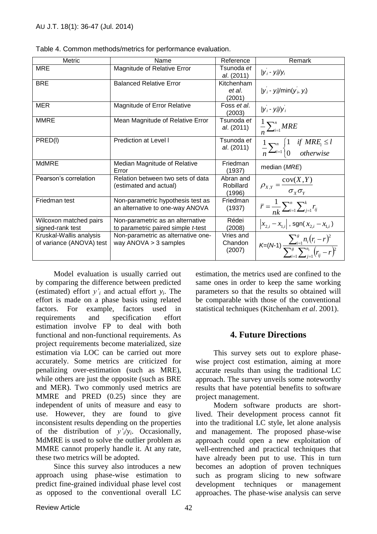| <b>Metric</b>            | Name                               | Reference         | Remark                                                                                         |
|--------------------------|------------------------------------|-------------------|------------------------------------------------------------------------------------------------|
| <b>MRE</b>               | Magnitude of Relative Error        | Tsunoda <i>et</i> | $ y_i - y_i /y_i$                                                                              |
|                          |                                    | al. (2011)        |                                                                                                |
| <b>BRE</b>               | <b>Balanced Relative Error</b>     | Kitchenham        |                                                                                                |
|                          |                                    | et al.            | $ y_i - y_i /$ min $(y_i, y_i)$                                                                |
|                          |                                    | (2001)            |                                                                                                |
| <b>MER</b>               | Magnitude of Error Relative        | Foss et al.       | $ y_i - y_i /y_i$                                                                              |
|                          |                                    | (2003)            |                                                                                                |
| <b>MMRE</b>              | Mean Magnitude of Relative Error   | Tsunoda et        |                                                                                                |
|                          |                                    | al. (2011)        | $\frac{1}{n}\sum_{i=1}^{n} MRE$                                                                |
| PRED(I)                  | <b>Prediction at Level I</b>       | Tsunoda et        |                                                                                                |
|                          |                                    | al. (2011)        | $\frac{1}{n}\sum_{i=1}^{n}\begin{cases}1 & if \text{ } MRE_i \leq l\\0 & otherwise\end{cases}$ |
|                          |                                    |                   |                                                                                                |
| <b>MdMRE</b>             | Median Magnitude of Relative       | Friedman          | median (MRE)                                                                                   |
|                          | Error                              | (1937)            |                                                                                                |
| Pearson's correlation    | Relation between two sets of data  | Abran and         |                                                                                                |
|                          | (estimated and actual)             | Robillard         | $\rho_{X,Y} = \frac{\text{cov}(X,Y)}{\sigma_{Y}\sigma_{Y}}$                                    |
|                          |                                    | (1996)            |                                                                                                |
| Friedman test            | Non-parametric hypothesis test as  | <b>Friedman</b>   |                                                                                                |
|                          | an alternative to one-way ANOVA    | (1937)            | $\bar{r} = \frac{1}{nk} \sum_{i=1}^{n} \sum_{j=1}^{k} r_{ij}$                                  |
| Wilcoxon matched pairs   | Non-parametric as an alternative   | Rédei             |                                                                                                |
| signed-rank test         | to parametric paired simple t-test | (2008)            | $ x_{2,i}-x_{1,i} $ , sgn( $x_{2,i}-x_{1,i}$ )                                                 |
| Kruskal-Wallis analysis  | Non-parametric as alternative one- | Vries and         |                                                                                                |
| of variance (ANOVA) test | way $ANOVA > 3$ samples            | Chandon           |                                                                                                |
|                          |                                    | (2007)            | $K=(N-1)\frac{\sum_{i=1}^{8}n_i(r_i-r)^2}{\sum_{i=1}^{8}\sum_{i=1}^{n_i}(r_i-r)^2}$            |

|  |  | Table 4. Common methods/metrics for performance evaluation. |  |  |  |
|--|--|-------------------------------------------------------------|--|--|--|
|--|--|-------------------------------------------------------------|--|--|--|

Model evaluation is usually carried out by comparing the difference between predicted (estimated) effort  $y'_i$  and actual effort  $y_i$ . The effort is made on a phase basis using related factors. For example, factors used in requirements and specification effort estimation involve FP to deal with both functional and non-functional requirements. As project requirements become materialized, size estimation via LOC can be carried out more accurately. Some metrics are criticized for penalizing over-estimation (such as MRE), while others are just the opposite (such as BRE and MER). Two commonly used metrics are MMRE and PRED (0.25) since they are independent of units of measure and easy to use. However, they are found to give inconsistent results depending on the properties of the distribution of  $y'_i/y_i$ . Occasionally, MdMRE is used to solve the outlier problem as MMRE cannot properly handle it. At any rate, these two metrics will be adopted.

Since this survey also introduces a new approach using phase-wise estimation to predict fine-grained individual phase level cost as opposed to the conventional overall LC

estimation, the metrics used are confined to the same ones in order to keep the same working parameters so that the results so obtained will be comparable with those of the conventional statistical techniques (Kitchenham *et al*. 2001).

# **4. Future Directions**

This survey sets out to explore phasewise project cost estimation, aiming at more accurate results than using the traditional LC approach. The survey unveils some noteworthy results that have potential benefits to software project management.

Modern software products are shortlived. Their development process cannot fit into the traditional LC style, let alone analysis and management. The proposed phase-wise approach could open a new exploitation of well-entrenched and practical techniques that have already been put to use. This in turn becomes an adoption of proven techniques such as program slicing to new software development techniques or management approaches. The phase-wise analysis can serve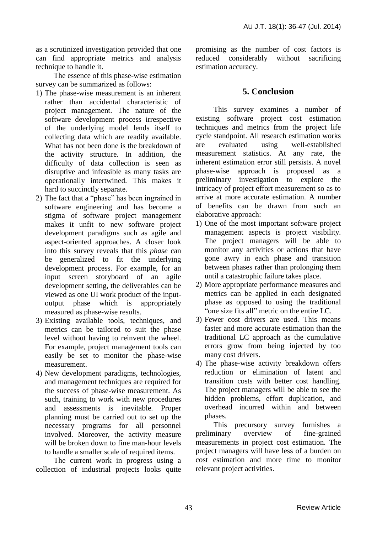as a scrutinized investigation provided that one can find appropriate metrics and analysis technique to handle it.

The essence of this phase-wise estimation survey can be summarized as follows:

- 1) The phase-wise measurement is an inherent rather than accidental characteristic of project management. The nature of the software development process irrespective of the underlying model lends itself to collecting data which are readily available. What has not been done is the breakdown of the activity structure. In addition, the difficulty of data collection is seen as disruptive and infeasible as many tasks are operationally intertwined. This makes it hard to succinctly separate.
- 2) The fact that a "phase" has been ingrained in software engineering and has become a stigma of software project management makes it unfit to new software project development paradigms such as agile and aspect-oriented approaches. A closer look into this survey reveals that this *phase* can be generalized to fit the underlying development process. For example, for an input screen storyboard of an agile development setting, the deliverables can be viewed as one UI work product of the inputoutput phase which is appropriately measured as phase-wise results.
- 3) Existing available tools, techniques, and metrics can be tailored to suit the phase level without having to reinvent the wheel. For example, project management tools can easily be set to monitor the phase-wise measurement.
- 4) New development paradigms, technologies, and management techniques are required for the success of phase-wise measurement. As such, training to work with new procedures and assessments is inevitable. Proper planning must be carried out to set up the necessary programs for all personnel involved. Moreover, the activity measure will be broken down to fine man-hour levels to handle a smaller scale of required items.

The current work in progress using a collection of industrial projects looks quite promising as the number of cost factors is reduced considerably without sacrificing estimation accuracy.

# **5. Conclusion**

This survey examines a number of existing software project cost estimation techniques and metrics from the project life cycle standpoint. All research estimation works are evaluated using well-established measurement statistics. At any rate, the inherent estimation error still persists. A novel phase-wise approach is proposed as a preliminary investigation to explore the intricacy of project effort measurement so as to arrive at more accurate estimation. A number of benefits can be drawn from such an elaborative approach:

- 1) One of the most important software project management aspects is project visibility. The project managers will be able to monitor any activities or actions that have gone awry in each phase and transition between phases rather than prolonging them until a catastrophic failure takes place.
- 2) More appropriate performance measures and metrics can be applied in each designated phase as opposed to using the traditional "one size fits all" metric on the entire LC.
- 3) Fewer cost drivers are used. This means faster and more accurate estimation than the traditional LC approach as the cumulative errors grow from being injected by too many cost drivers.
- 4) The phase-wise activity breakdown offers reduction or elimination of latent and transition costs with better cost handling. The project managers will be able to see the hidden problems, effort duplication, and overhead incurred within and between phases.

This precursory survey furnishes a preliminary overview of fine-grained measurements in project cost estimation. The project managers will have less of a burden on cost estimation and more time to monitor relevant project activities.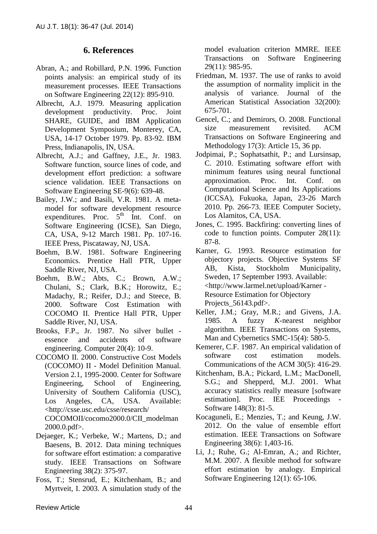## **6. References**

- Abran, A.; and Robillard, P.N. 1996. Function points analysis: an empirical study of its measurement processes. IEEE Transactions on Software Engineering 22(12): 895-910.
- Albrecht, A.J. 1979. Measuring application development productivity. Proc. Joint SHARE, GUIDE, and IBM Application Development Symposium, Monterey, CA, USA, 14-17 October 1979. Pp. 83-92. IBM Press, Indianapolis, IN, USA.
- Albrecht, A.J.; and Gaffney, J.E., Jr. 1983. Software function, source lines of code, and development effort prediction: a software science validation. IEEE Transactions on Software Engineering SE-9(6): 639-48.
- Bailey, J.W.; and Basili, V.R. 1981. A metamodel for software development resource expenditures. Proc.  $5<sup>th</sup>$  Int. Conf. on Software Engineering (ICSE), San Diego, CA, USA, 9-12 March 1981. Pp. 107-16. IEEE Press, Piscataway, NJ, USA.
- Boehm, B.W. 1981. Software Engineering Economics. Prentice Hall PTR, Upper Saddle River, NJ, USA.
- Boehm, B.W.; Abts, C.; Brown, A.W.; Chulani, S.; Clark, B.K.; Horowitz, E.; Madachy, R.; Reifer, D.J.; and Steece, B. 2000. Software Cost Estimation with COCOMO II. Prentice Hall PTR, Upper Saddle River, NJ, USA.
- Brooks, F.P., Jr. 1987. No silver bullet essence and accidents of software engineering. Computer 20(4): 10-9.
- COCOMO II. 2000. Constructive Cost Models (COCOMO) II - Model Definition Manual. Version 2.1, 1995-2000. Center for Software Engineering, School of Engineering, University of Southern California (USC), Los Angeles, CA, USA. Available: <http://csse.usc.edu/csse/research/ COCOMOII/cocomo2000.0/CII\_modelman 2000.0.pdf>.
- Dejaeger, K.; Verbeke, W.; Martens, D.; and Baesens, B. 2012. Data mining techniques for software effort estimation: a comparative study. IEEE Transactions on Software Engineering 38(2): 375-97.
- Foss, T.; Stensrud, E.; Kitchenham, B.; and Myrtveit, I. 2003. A simulation study of the

model evaluation criterion MMRE. IEEE Transactions on Software Engineering 29(11): 985-95.

- Friedman, M. 1937. The use of ranks to avoid the assumption of normality implicit in the analysis of variance. Journal of the American Statistical Association 32(200): 675-701.
- Gencel, C.; and Demirors, O. 2008. Functional size measurement revisited. ACM Transactions on Software Engineering and Methodology 17(3): Article 15, 36 pp.
- Jodpimai, P.; Sophatsathit, P.; and Lursinsap, C. 2010. Estimating software effort with minimum features using neural functional approximation. Proc. Int. Conf. on Computational Science and Its Applications (ICCSA), Fukuoka, Japan, 23-26 March 2010. Pp. 266-73. IEEE Computer Society, Los Alamitos, CA, USA.
- Jones, C. 1995. Backfiring: converting lines of code to function points. Computer 28(11): 87-8.
- Karner, G. 1993. Resource estimation for objectory projects. Objective Systems SF AB, Kista, Stockholm Municipality, Sweden, 17 September 1993. Available: <http://www.larmel.net/upload/Karner - Resource Estimation for Objectory Projects 56143.pdf>.
- [Keller, J.M.;](http://ieeexplore.ieee.org/search/searchresult.jsp?searchWithin=p_Authors:.QT.Keller,%20J.M..QT.&newsearch=true) [Gray, M.R.;](http://ieeexplore.ieee.org/search/searchresult.jsp?searchWithin=p_Authors:.QT.Gray,%20M.R..QT.&newsearch=true) and [Givens, J.A.](http://ieeexplore.ieee.org/search/searchresult.jsp?searchWithin=p_Authors:.QT.Givens,%20J.A..QT.&newsearch=true) 1985. A fuzzy *K*-nearest neighbor algorithm. IEEE Transactions on [Systems,](http://ieeexplore.ieee.org/xpl/RecentIssue.jsp?punumber=21)  [Man and Cybernetics](http://ieeexplore.ieee.org/xpl/RecentIssue.jsp?punumber=21) SMC-15(4): 580-5.
- Kemerer, C.F. 1987. An empirical validation of software cost estimation models. Communications of the ACM 30(5): 416-29.
- Kitchenham, B.A.; Pickard, L.M.; MacDonell, S.G.; and Shepperd, M.J. 2001. What accuracy statistics really measure [software estimation]. Proc. IEE Proceedings - Software 148(3): 81-5.
- Kocaguneli, E.; Menzies, T.; and Keung, J.W. 2012. On the value of ensemble effort estimation. IEEE Transactions on Software Engineering 38(6): 1,403-16.
- Li, J.; Ruhe, G.; Al-Emran, A.; and Richter, M.M. 2007. A flexible method for software effort estimation by analogy. Empirical Software Engineering 12(1): 65-106.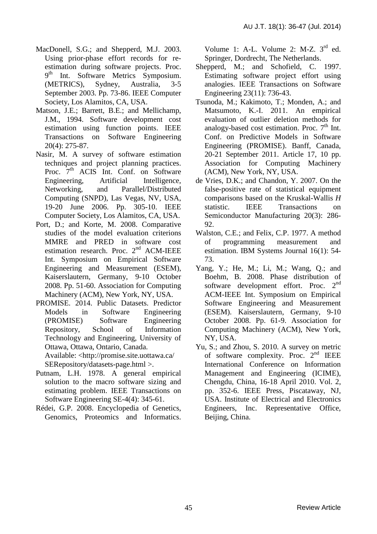- MacDonell, S.G.; and Shepperd, M.J. 2003. Using prior-phase effort records for reestimation during software projects. Proc. 9<sup>th</sup> Int. Software Metrics Symposium. (METRICS), Sydney, Australia, 3-5 September 2003. Pp. 73-86. IEEE Computer Society, Los Alamitos, CA, USA.
- Matson, J.E.; Barrett, B.E.; and Mellichamp, J.M., 1994. Software development cost estimation using function points. IEEE Transactions on Software Engineering 20(4): 275-87.
- Nasir, M. A survey of software estimation techniques and project planning practices. Proc.  $7<sup>th</sup>$  ACIS Int. Conf. on Software Engineering, Artificial Intelligence, Networking, and Parallel/Distributed Computing (SNPD), Las Vegas, NV, USA, 19-20 June 2006. Pp. 305-10. IEEE Computer Society, Los Alamitos, CA, USA.
- Port, D.; and Korte, M. 2008. Comparative studies of the model evaluation criterions MMRE and PRED in software cost estimation research. Proc. 2<sup>nd</sup> ACM-IEEE Int. Symposium on Empirical Software Engineering and Measurement (ESEM), [Kaiserslautern, Germany,](http://www.esem-conferences.org/2008/) 9-10 October 2008. Pp. 51-60. Association for Computing Machinery (ACM), New York, NY, USA.
- PROMISE. 2014. Public Datasets. Predictor Models in Software Engineering (PROMISE) Software Engineering Repository, School of Information Technology and Engineering, University of Ottawa, Ottawa, Ontario, Canada. Available: <http://promise.site.uottawa.ca/ SERepository/datasets-page.html >.
- Putnam, L.H. 1978. A general empirical solution to the macro software sizing and estimating problem. IEEE Transactions on Software Engineering SE-4(4): 345-61.
- Rédei, G.P. 2008. Encyclopedia of Genetics, Genomics, Proteomics and Informatics.

Volume 1: A-L. Volume 2: M-Z.  $3<sup>rd</sup>$  ed. Springer, Dordrecht, The Netherlands.

- Shepperd, M.; and Schofield, C. 1997. Estimating software project effort using analogies. IEEE Transactions on Software Engineering 23(11): 736-43.
- Tsunoda, M.; Kakimoto, T.; Monden, A.; and Matsumoto, K.-I. 2011. An empirical evaluation of outlier deletion methods for analogy-based cost estimation. Proc.  $7<sup>th</sup>$  Int. Conf. on Predictive Models in Software Engineering (PROMISE). Banff, Canada, 20-21 September 2011. Article 17, 10 pp. Association for Computing Machinery (ACM), New York, NY, USA.
- de Vries, D.K.; and Chandon, Y. 2007. On the false-positive rate of statistical equipment comparisons based on the Kruskal-Wallis *H* statistic. IEEE Transactions on Semiconductor Manufacturing 20(3): 286- 92.
- Walston, C.E.; and Felix, C.P. 1977. A method of programming measurement and estimation. IBM Systems Journal 16(1): 54- 73.
- Yang, Y.; He, M.; Li, M.; Wang, Q.; and Boehm, B. 2008. Phase distribution of software development effort. Proc.  $2<sup>nd</sup>$ ACM-IEEE Int. Symposium on Empirical Software Engineering and Measurement (ESEM). [Kaiserslautern, Germany,](http://www.esem-conferences.org/2008/) 9-10 October 2008. Pp. 61-9. Association for Computing Machinery (ACM), New York, NY, USA.
- Yu, S.; and Zhou, S. 2010. A survey on metric of software complexity. Proc. 2<sup>nd</sup> IEEE International Conference on Information Management and Engineering (ICIME), Chengdu, China, 16-18 April 2010. Vol. 2, pp. 352-6. IEEE Press, Piscataway, NJ, USA. Institute of Electrical and Electronics Engineers, Inc. Representative Office, Beijing, China.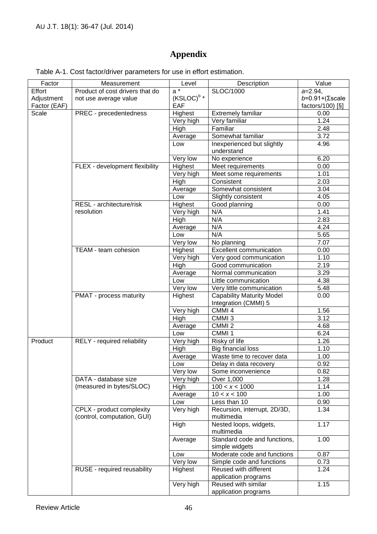# **Appendix**

| Factor       | Measurement                                              | Level                  | Description                                    | Value                         |
|--------------|----------------------------------------------------------|------------------------|------------------------------------------------|-------------------------------|
| Effort       | Product of cost drivers that do                          | $a^*$                  | SLOC/1000                                      | $a=2.94$ ,                    |
| Adjustment   | not use average value                                    | (KSLOC) <sup>b</sup> * |                                                | $b=0.91+(\Sigma \text{scale}$ |
| Factor (EAF) |                                                          | EAF                    |                                                | factors/100 $\left[\S\right]$ |
| Scale        | PREC - precedentedness                                   | Highest                | Extremely familiar                             | 0.00                          |
|              |                                                          | Very high              | Very familiar                                  | 1.24                          |
|              |                                                          | High                   | Familiar                                       | $\overline{2.48}$             |
|              |                                                          | Average                | Somewhat familiar                              | 3.72                          |
|              |                                                          | Low                    | Inexperienced but slightly                     | 4.96                          |
|              |                                                          |                        | understand                                     |                               |
|              |                                                          | Very low               | No experience                                  | 6.20                          |
|              | FLEX - development flexibility                           | Highest                | Meet requirements                              | 0.00                          |
|              |                                                          | Very high              | Meet some requirements                         | 1.01                          |
|              |                                                          | High                   | Consistent                                     | 2.03                          |
|              |                                                          | Average                | Somewhat consistent                            | 3.04                          |
|              |                                                          | Low                    | Slightly consistent                            | 4.05                          |
|              | RESL - architecture/risk                                 | Highest                | Good planning                                  | 0.00                          |
|              | resolution                                               | Very high              | N/A                                            | 1.41                          |
|              |                                                          | High                   | N/A                                            | 2.83                          |
|              |                                                          | Average                | N/A                                            | 4.24                          |
|              |                                                          | Low                    | N/A                                            | 5.65                          |
|              |                                                          | Very low               | No planning                                    | 7.07                          |
|              | TEAM - team cohesion                                     | Highest                | <b>Excellent communication</b>                 | 0.00                          |
|              |                                                          | Very high              | Very good communication                        | 1.10                          |
|              |                                                          | High                   | Good communication                             | 2.19                          |
|              |                                                          | Average                | Normal communication                           | 3.29                          |
|              |                                                          | Low                    | Little communication                           | 4.38                          |
|              |                                                          | Very low               | Very little communication                      | 5.48                          |
|              | PMAT - process maturity                                  | Highest                | <b>Capability Maturity Model</b>               | 0.00                          |
|              |                                                          |                        | Integration (CMMI) 5                           |                               |
|              |                                                          | Very high              | CMMI 4                                         | 1.56                          |
|              |                                                          | High                   | CMMI <sub>3</sub>                              | 3.12                          |
|              |                                                          | Average                | CMMI <sub>2</sub>                              | 4.68                          |
|              |                                                          | Low                    | CMMI <sub>1</sub>                              | 6.24                          |
| Product      | RELY - required reliability                              | Very high              | Risky of life                                  | 1.26                          |
|              |                                                          | High                   | <b>Big financial loss</b>                      | 1.10                          |
|              |                                                          | Average                | Waste time to recover data                     | 1.00                          |
|              |                                                          | Low                    | Delay in data recovery                         | 0.92                          |
|              |                                                          | Very low               | Some inconvenience                             | 0.82                          |
|              | DATA - database size                                     | Very high              | Over 1,000                                     | 1.28                          |
|              | (measured in bytes/SLOC)                                 | High                   | 100 < x < 1000                                 | 1.14                          |
|              |                                                          | Average                | 10 < x < 100                                   | 1.00                          |
|              |                                                          | Low                    | Less than 10                                   | 0.90                          |
|              | CPLX - product complexity<br>(control, computation, GUI) | Very high              | Recursion, interrupt, 2D/3D,<br>multimedia     | 1.34                          |
|              |                                                          | High                   | Nested loops, widgets,<br>multimedia           | 1.17                          |
|              |                                                          | Average                | Standard code and functions,<br>simple widgets | 1.00                          |
|              |                                                          | Low                    | Moderate code and functions                    | 0.87                          |
|              |                                                          | Very low               | Simple code and functions                      | 0.73                          |
|              | RUSE - required reusability                              | Highest                | Reused with different                          | 1.24                          |
|              |                                                          |                        | application programs                           |                               |
|              |                                                          | Very high              | Reused with similar<br>application programs    | 1.15                          |

Table A-1. Cost factor/driver parameters for use in effort estimation.